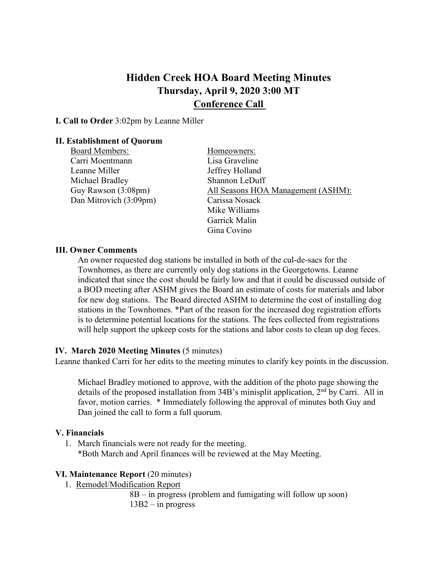# **Hidden Creek HOA Board Meeting Minutes Thursday, April 9, 2020 3:00 MT Conference Call**

**I. Call to Order** 3:02pm by Leanne Miller

### **II. Establishment of Quorum**

- Board Members: Homeowners: Carri Moentmann Lisa Graveline Leanne Miller Jeffrey Holland Michael Bradley Shannon LeDuff Dan Mitrovich (3:09pm) Carissa Nosack
- Guy Rawson (3:08pm) All Seasons HOA Management (ASHM): Mike Williams Garrick Malin Gina Covino

### **III. Owner Comments**

An owner requested dog stations be installed in both of the cul-de-sacs for the Townhomes, as there are currently only dog stations in the Georgetowns. Leanne indicated that since the cost should be fairly low and that it could be discussed outside of a BOD meeting after ASHM gives the Board an estimate of costs for materials and labor for new dog stations. The Board directed ASHM to determine the cost of installing dog stations in the Townhomes. \*Part of the reason for the increased dog registration efforts is to determine potential locations for the stations. The fees collected from registrations will help support the upkeep costs for the stations and labor costs to clean up dog feces.

### **IV. March 2020 Meeting Minutes** (5 minutes)

Leanne thanked Carri for her edits to the meeting minutes to clarify key points in the discussion.

Michael Bradley motioned to approve, with the addition of the photo page showing the details of the proposed installation from 34B's minisplit application, 2<sup>nd</sup> by Carri. All in favor, motion carries. \* Immediately following the approval of minutes both Guy and Dan joined the call to form a full quorum.

### **V. Financials**

1. March financials were not ready for the meeting. \*Both March and April finances will be reviewed at the May Meeting.

### **VI. Maintenance Report** (20 minutes)

1. Remodel/Modification Report

8B – in progress (problem and fumigating will follow up soon) 13B2 – in progress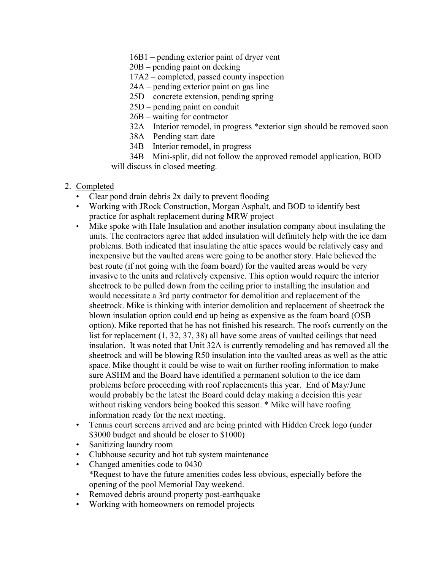16B1 – pending exterior paint of dryer vent

20B – pending paint on decking

17A2 – completed, passed county inspection

- 24A pending exterior paint on gas line
- 25D concrete extension, pending spring
- 25D pending paint on conduit
- 26B waiting for contractor
- 32A Interior remodel, in progress \*exterior sign should be removed soon
- 38A Pending start date
- 34B Interior remodel, in progress

34B – Mini-split, did not follow the approved remodel application, BOD will discuss in closed meeting.

### 2. Completed

- Clear pond drain debris 2x daily to prevent flooding
- Working with JRock Construction, Morgan Asphalt, and BOD to identify best practice for asphalt replacement during MRW project
- Mike spoke with Hale Insulation and another insulation company about insulating the units. The contractors agree that added insulation will definitely help with the ice dam problems. Both indicated that insulating the attic spaces would be relatively easy and inexpensive but the vaulted areas were going to be another story. Hale believed the best route (if not going with the foam board) for the vaulted areas would be very invasive to the units and relatively expensive. This option would require the interior sheetrock to be pulled down from the ceiling prior to installing the insulation and would necessitate a 3rd party contractor for demolition and replacement of the sheetrock. Mike is thinking with interior demolition and replacement of sheetrock the blown insulation option could end up being as expensive as the foam board (OSB option). Mike reported that he has not finished his research. The roofs currently on the list for replacement (1, 32, 37, 38) all have some areas of vaulted ceilings that need insulation. It was noted that Unit 32A is currently remodeling and has removed all the sheetrock and will be blowing R50 insulation into the vaulted areas as well as the attic space. Mike thought it could be wise to wait on further roofing information to make sure ASHM and the Board have identified a permanent solution to the ice dam problems before proceeding with roof replacements this year. End of May/June would probably be the latest the Board could delay making a decision this year without risking vendors being booked this season. \* Mike will have roofing information ready for the next meeting.
- Tennis court screens arrived and are being printed with Hidden Creek logo (under \$3000 budget and should be closer to \$1000)
- Sanitizing laundry room
- Clubhouse security and hot tub system maintenance
- Changed amenities code to 0430 \*Request to have the future amenities codes less obvious, especially before the opening of the pool Memorial Day weekend.
- Removed debris around property post-earthquake
- Working with homeowners on remodel projects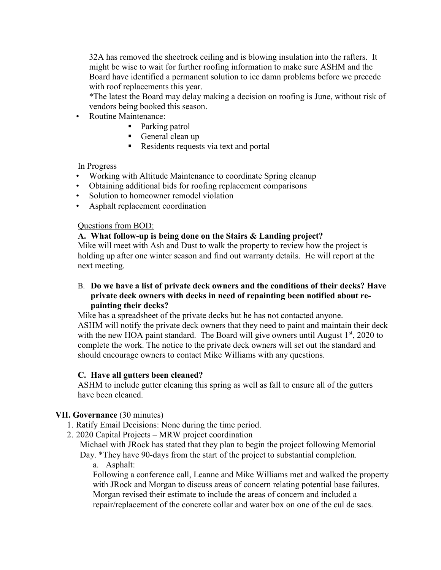32A has removed the sheetrock ceiling and is blowing insulation into the rafters. It might be wise to wait for further roofing information to make sure ASHM and the Board have identified a permanent solution to ice damn problems before we precede with roof replacements this year.

\*The latest the Board may delay making a decision on roofing is June, without risk of vendors being booked this season.

- Routine Maintenance:
	- Parking patrol
	- General clean up
	- Residents requests via text and portal

### In Progress

- Working with Altitude Maintenance to coordinate Spring cleanup
- Obtaining additional bids for roofing replacement comparisons
- Solution to homeowner remodel violation
- Asphalt replacement coordination

# Questions from BOD:

# **A. What follow-up is being done on the Stairs & Landing project?**

Mike will meet with Ash and Dust to walk the property to review how the project is holding up after one winter season and find out warranty details. He will report at the next meeting.

# B. **Do we have a list of private deck owners and the conditions of their decks? Have private deck owners with decks in need of repainting been notified about repainting their decks?**

Mike has a spreadsheet of the private decks but he has not contacted anyone. ASHM will notify the private deck owners that they need to paint and maintain their deck with the new HOA paint standard. The Board will give owners until August  $1<sup>st</sup>$ , 2020 to complete the work. The notice to the private deck owners will set out the standard and should encourage owners to contact Mike Williams with any questions.

# **C. Have all gutters been cleaned?**

ASHM to include gutter cleaning this spring as well as fall to ensure all of the gutters have been cleaned.

# **VII. Governance** (30 minutes)

- 1. Ratify Email Decisions: None during the time period.
- 2. 2020 Capital Projects MRW project coordination

Michael with JRock has stated that they plan to begin the project following Memorial Day. \*They have 90-days from the start of the project to substantial completion.

a. Asphalt:

Following a conference call, Leanne and Mike Williams met and walked the property with JRock and Morgan to discuss areas of concern relating potential base failures. Morgan revised their estimate to include the areas of concern and included a repair/replacement of the concrete collar and water box on one of the cul de sacs.